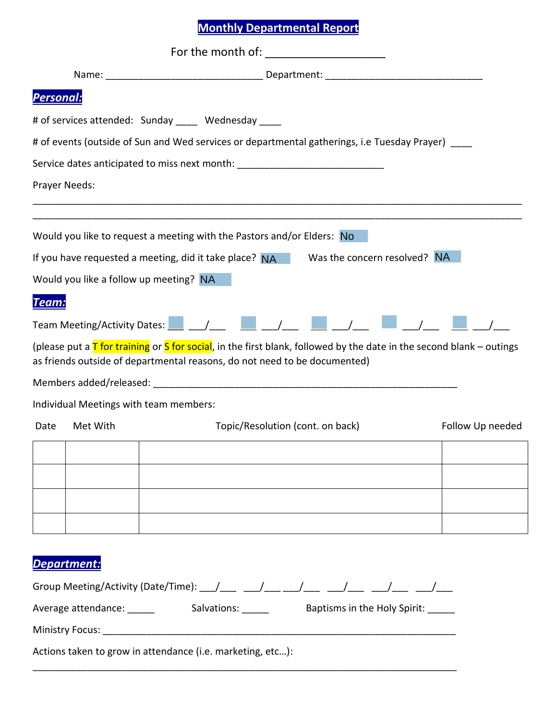## **Monthly Departmental Report**

|                  |                                                                                                   | For the month of: _______________________                                                                                                                                                                                                                                                                                                 |                  |  |  |  |  |  |
|------------------|---------------------------------------------------------------------------------------------------|-------------------------------------------------------------------------------------------------------------------------------------------------------------------------------------------------------------------------------------------------------------------------------------------------------------------------------------------|------------------|--|--|--|--|--|
|                  |                                                                                                   |                                                                                                                                                                                                                                                                                                                                           |                  |  |  |  |  |  |
| <b>Personal:</b> |                                                                                                   |                                                                                                                                                                                                                                                                                                                                           |                  |  |  |  |  |  |
|                  |                                                                                                   | # of services attended: Sunday _____ Wednesday ____                                                                                                                                                                                                                                                                                       |                  |  |  |  |  |  |
|                  | # of events (outside of Sun and Wed services or departmental gatherings, i.e Tuesday Prayer) ____ |                                                                                                                                                                                                                                                                                                                                           |                  |  |  |  |  |  |
|                  |                                                                                                   | Service dates anticipated to miss next month: __________________________________                                                                                                                                                                                                                                                          |                  |  |  |  |  |  |
|                  | Prayer Needs:                                                                                     |                                                                                                                                                                                                                                                                                                                                           |                  |  |  |  |  |  |
|                  |                                                                                                   |                                                                                                                                                                                                                                                                                                                                           |                  |  |  |  |  |  |
|                  |                                                                                                   | Would you like to request a meeting with the Pastors and/or Elders: No<br>Was the concern resolved? NA                                                                                                                                                                                                                                    |                  |  |  |  |  |  |
|                  |                                                                                                   | If you have requested a meeting, did it take place? $NA$<br>Would you like a follow up meeting? NA                                                                                                                                                                                                                                        |                  |  |  |  |  |  |
|                  |                                                                                                   |                                                                                                                                                                                                                                                                                                                                           |                  |  |  |  |  |  |
| Team:            |                                                                                                   |                                                                                                                                                                                                                                                                                                                                           |                  |  |  |  |  |  |
|                  |                                                                                                   | Team Meeting/Activity Dates: $\boxed{\phantom{a}$ $\phantom{a}$ $\phantom{a}$ $\phantom{a}$ $\phantom{a}$ $\phantom{a}$ $\phantom{a}$ $\phantom{a}$ $\phantom{a}$ $\phantom{a}$ $\phantom{a}$ $\phantom{a}$ $\phantom{a}$ $\phantom{a}$ $\phantom{a}$ $\phantom{a}$ $\phantom{a}$ $\phantom{a}$ $\phantom{a}$ $\phantom{a}$ $\phantom{a}$ |                  |  |  |  |  |  |
|                  |                                                                                                   | (please put a $\overline{I}$ for training or S for social, in the first blank, followed by the date in the second blank – outings<br>as friends outside of departmental reasons, do not need to be documented)                                                                                                                            |                  |  |  |  |  |  |
|                  |                                                                                                   |                                                                                                                                                                                                                                                                                                                                           |                  |  |  |  |  |  |
|                  |                                                                                                   | Individual Meetings with team members:                                                                                                                                                                                                                                                                                                    |                  |  |  |  |  |  |
| Date             | Met With                                                                                          | Topic/Resolution (cont. on back)                                                                                                                                                                                                                                                                                                          | Follow Up needed |  |  |  |  |  |
|                  |                                                                                                   |                                                                                                                                                                                                                                                                                                                                           |                  |  |  |  |  |  |
|                  |                                                                                                   |                                                                                                                                                                                                                                                                                                                                           |                  |  |  |  |  |  |
|                  |                                                                                                   |                                                                                                                                                                                                                                                                                                                                           |                  |  |  |  |  |  |
|                  |                                                                                                   |                                                                                                                                                                                                                                                                                                                                           |                  |  |  |  |  |  |
|                  |                                                                                                   |                                                                                                                                                                                                                                                                                                                                           |                  |  |  |  |  |  |
|                  | Department:                                                                                       |                                                                                                                                                                                                                                                                                                                                           |                  |  |  |  |  |  |
|                  |                                                                                                   | Group Meeting/Activity (Date/Time): ___/____ ___/___ ___/___ ___/___ ___/___ ___/___                                                                                                                                                                                                                                                      |                  |  |  |  |  |  |
|                  |                                                                                                   |                                                                                                                                                                                                                                                                                                                                           |                  |  |  |  |  |  |
|                  |                                                                                                   |                                                                                                                                                                                                                                                                                                                                           |                  |  |  |  |  |  |
|                  |                                                                                                   | Actions taken to grow in attendance (i.e. marketing, etc):                                                                                                                                                                                                                                                                                |                  |  |  |  |  |  |
|                  |                                                                                                   |                                                                                                                                                                                                                                                                                                                                           |                  |  |  |  |  |  |